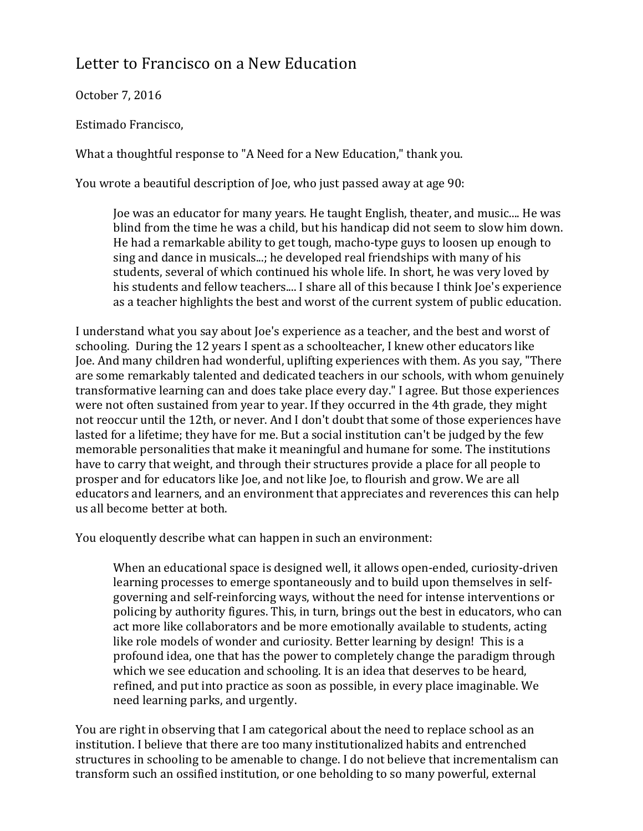## Letter to Francisco on a New Education

October 7, 2016

Estimado Francisco,

What a thoughtful response to "A Need for a New Education," thank you.

You wrote a beautiful description of Joe, who just passed away at age 90:

Joe was an educator for many years. He taught English, theater, and music.... He was blind from the time he was a child, but his handicap did not seem to slow him down. He had a remarkable ability to get tough, macho-type guys to loosen up enough to sing and dance in musicals...; he developed real friendships with many of his students, several of which continued his whole life. In short, he was very loved by his students and fellow teachers.... I share all of this because I think Joe's experience as a teacher highlights the best and worst of the current system of public education.

I understand what you say about Joe's experience as a teacher, and the best and worst of schooling. During the 12 years I spent as a schoolteacher, I knew other educators like Joe. And many children had wonderful, uplifting experiences with them. As you say, "There are some remarkably talented and dedicated teachers in our schools, with whom genuinely transformative learning can and does take place every day." I agree. But those experiences were not often sustained from year to year. If they occurred in the 4th grade, they might not reoccur until the 12th, or never. And I don't doubt that some of those experiences have lasted for a lifetime; they have for me. But a social institution can't be judged by the few memorable personalities that make it meaningful and humane for some. The institutions have to carry that weight, and through their structures provide a place for all people to prosper and for educators like Joe, and not like Joe, to flourish and grow. We are all educators and learners, and an environment that appreciates and reverences this can help us all become better at both.

You eloquently describe what can happen in such an environment:

When an educational space is designed well, it allows open-ended, curiosity-driven learning processes to emerge spontaneously and to build upon themselves in selfgoverning and self-reinforcing ways, without the need for intense interventions or policing by authority figures. This, in turn, brings out the best in educators, who can act more like collaborators and be more emotionally available to students, acting like role models of wonder and curiosity. Better learning by design! This is a profound idea, one that has the power to completely change the paradigm through which we see education and schooling. It is an idea that deserves to be heard, refined, and put into practice as soon as possible, in every place imaginable. We need learning parks, and urgently.

You are right in observing that I am categorical about the need to replace school as an institution. I believe that there are too many institutionalized habits and entrenched structures in schooling to be amenable to change. I do not believe that incrementalism can transform such an ossified institution, or one beholding to so many powerful, external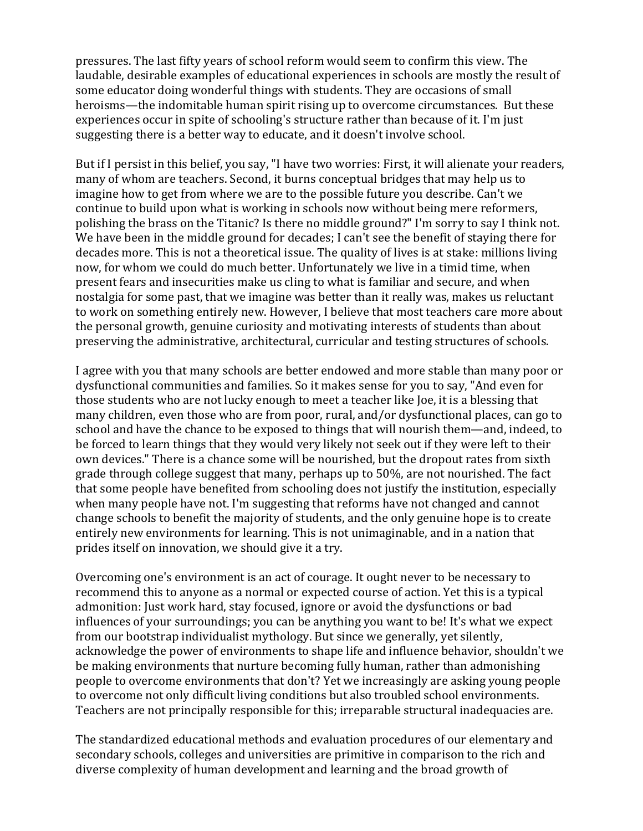pressures. The last fifty years of school reform would seem to confirm this view. The laudable, desirable examples of educational experiences in schools are mostly the result of some educator doing wonderful things with students. They are occasions of small heroisms—the indomitable human spirit rising up to overcome circumstances. But these experiences occur in spite of schooling's structure rather than because of it. I'm just suggesting there is a better way to educate, and it doesn't involve school.

But if I persist in this belief, you say, "I have two worries: First, it will alienate your readers, many of whom are teachers. Second, it burns conceptual bridges that may help us to imagine how to get from where we are to the possible future you describe. Can't we continue to build upon what is working in schools now without being mere reformers, polishing the brass on the Titanic? Is there no middle ground?" I'm sorry to say I think not. We have been in the middle ground for decades; I can't see the benefit of staying there for decades more. This is not a theoretical issue. The quality of lives is at stake: millions living now, for whom we could do much better. Unfortunately we live in a timid time, when present fears and insecurities make us cling to what is familiar and secure, and when nostalgia for some past, that we imagine was better than it really was, makes us reluctant to work on something entirely new. However, I believe that most teachers care more about the personal growth, genuine curiosity and motivating interests of students than about preserving the administrative, architectural, curricular and testing structures of schools.

I agree with you that many schools are better endowed and more stable than many poor or dysfunctional communities and families. So it makes sense for you to say, "And even for those students who are not lucky enough to meet a teacher like Joe, it is a blessing that many children, even those who are from poor, rural, and/or dysfunctional places, can go to school and have the chance to be exposed to things that will nourish them—and, indeed, to be forced to learn things that they would very likely not seek out if they were left to their own devices." There is a chance some will be nourished, but the dropout rates from sixth grade through college suggest that many, perhaps up to  $50\%$ , are not nourished. The fact that some people have benefited from schooling does not justify the institution, especially when many people have not. I'm suggesting that reforms have not changed and cannot change schools to benefit the majority of students, and the only genuine hope is to create entirely new environments for learning. This is not unimaginable, and in a nation that prides itself on innovation, we should give it a try.

Overcoming one's environment is an act of courage. It ought never to be necessary to recommend this to anyone as a normal or expected course of action. Yet this is a typical admonition: Just work hard, stay focused, ignore or avoid the dysfunctions or bad influences of your surroundings; you can be anything you want to be! It's what we expect from our bootstrap individualist mythology. But since we generally, yet silently, acknowledge the power of environments to shape life and influence behavior, shouldn't we be making environments that nurture becoming fully human, rather than admonishing people to overcome environments that don't? Yet we increasingly are asking young people to overcome not only difficult living conditions but also troubled school environments. Teachers are not principally responsible for this; irreparable structural inadequacies are.

The standardized educational methods and evaluation procedures of our elementary and secondary schools, colleges and universities are primitive in comparison to the rich and diverse complexity of human development and learning and the broad growth of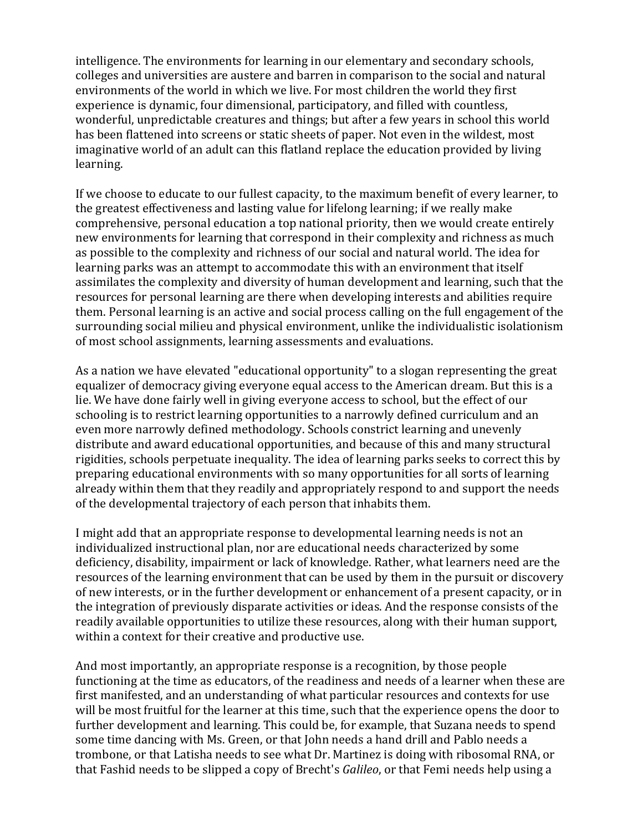intelligence. The environments for learning in our elementary and secondary schools, colleges and universities are austere and barren in comparison to the social and natural environments of the world in which we live. For most children the world they first experience is dynamic, four dimensional, participatory, and filled with countless, wonderful, unpredictable creatures and things; but after a few years in school this world has been flattened into screens or static sheets of paper. Not even in the wildest, most imaginative world of an adult can this flatland replace the education provided by living learning.

If we choose to educate to our fullest capacity, to the maximum benefit of every learner, to the greatest effectiveness and lasting value for lifelong learning; if we really make comprehensive, personal education a top national priority, then we would create entirely new environments for learning that correspond in their complexity and richness as much as possible to the complexity and richness of our social and natural world. The idea for learning parks was an attempt to accommodate this with an environment that itself assimilates the complexity and diversity of human development and learning, such that the resources for personal learning are there when developing interests and abilities require them. Personal learning is an active and social process calling on the full engagement of the surrounding social milieu and physical environment, unlike the individualistic isolationism of most school assignments, learning assessments and evaluations.

As a nation we have elevated "educational opportunity" to a slogan representing the great equalizer of democracy giving everyone equal access to the American dream. But this is a lie. We have done fairly well in giving everyone access to school, but the effect of our schooling is to restrict learning opportunities to a narrowly defined curriculum and an even more narrowly defined methodology. Schools constrict learning and unevenly distribute and award educational opportunities, and because of this and many structural rigidities, schools perpetuate inequality. The idea of learning parks seeks to correct this by preparing educational environments with so many opportunities for all sorts of learning already within them that they readily and appropriately respond to and support the needs of the developmental trajectory of each person that inhabits them.

I might add that an appropriate response to developmental learning needs is not an individualized instructional plan, nor are educational needs characterized by some deficiency, disability, impairment or lack of knowledge. Rather, what learners need are the resources of the learning environment that can be used by them in the pursuit or discovery of new interests, or in the further development or enhancement of a present capacity, or in the integration of previously disparate activities or ideas. And the response consists of the readily available opportunities to utilize these resources, along with their human support, within a context for their creative and productive use.

And most importantly, an appropriate response is a recognition, by those people functioning at the time as educators, of the readiness and needs of a learner when these are first manifested, and an understanding of what particular resources and contexts for use will be most fruitful for the learner at this time, such that the experience opens the door to further development and learning. This could be, for example, that Suzana needs to spend some time dancing with Ms. Green, or that John needs a hand drill and Pablo needs a trombone, or that Latisha needs to see what Dr. Martinez is doing with ribosomal RNA, or that Fashid needs to be slipped a copy of Brecht's *Galileo*, or that Femi needs help using a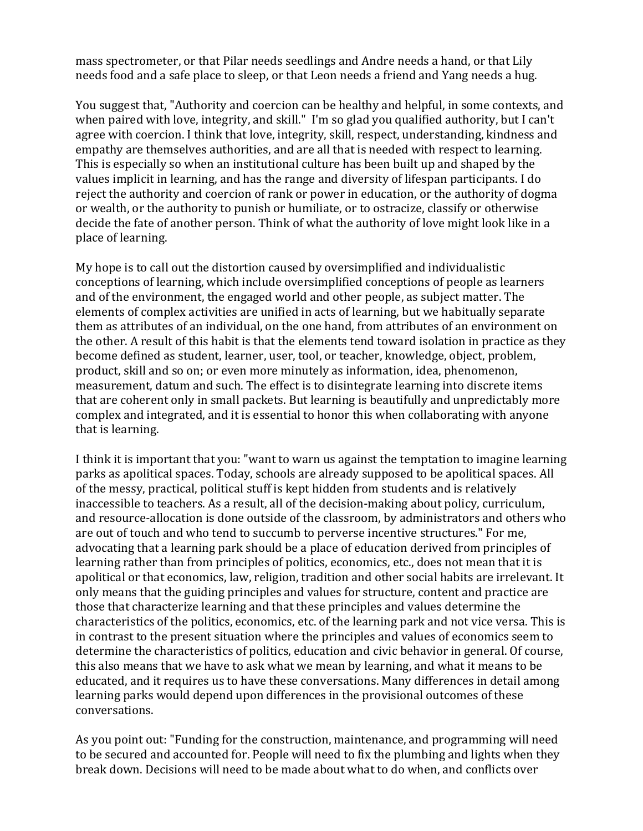mass spectrometer, or that Pilar needs seedlings and Andre needs a hand, or that Lily needs food and a safe place to sleep, or that Leon needs a friend and Yang needs a hug.

You suggest that, "Authority and coercion can be healthy and helpful, in some contexts, and when paired with love, integrity, and skill." I'm so glad you qualified authority, but I can't agree with coercion. I think that love, integrity, skill, respect, understanding, kindness and empathy are themselves authorities, and are all that is needed with respect to learning. This is especially so when an institutional culture has been built up and shaped by the values implicit in learning, and has the range and diversity of lifespan participants. I do reject the authority and coercion of rank or power in education, or the authority of dogma or wealth, or the authority to punish or humiliate, or to ostracize, classify or otherwise decide the fate of another person. Think of what the authority of love might look like in a place of learning.

My hope is to call out the distortion caused by oversimplified and individualistic conceptions of learning, which include oversimplified conceptions of people as learners and of the environment, the engaged world and other people, as subject matter. The elements of complex activities are unified in acts of learning, but we habitually separate them as attributes of an individual, on the one hand, from attributes of an environment on the other. A result of this habit is that the elements tend toward isolation in practice as they become defined as student, learner, user, tool, or teacher, knowledge, object, problem, product, skill and so on; or even more minutely as information, idea, phenomenon, measurement, datum and such. The effect is to disintegrate learning into discrete items that are coherent only in small packets. But learning is beautifully and unpredictably more complex and integrated, and it is essential to honor this when collaborating with anyone that is learning.

I think it is important that you: "want to warn us against the temptation to imagine learning parks as apolitical spaces. Today, schools are already supposed to be apolitical spaces. All of the messy, practical, political stuff is kept hidden from students and is relatively inaccessible to teachers. As a result, all of the decision-making about policy, curriculum, and resource-allocation is done outside of the classroom, by administrators and others who are out of touch and who tend to succumb to perverse incentive structures." For me, advocating that a learning park should be a place of education derived from principles of learning rather than from principles of politics, economics, etc., does not mean that it is apolitical or that economics, law, religion, tradition and other social habits are irrelevant. It only means that the guiding principles and values for structure, content and practice are those that characterize learning and that these principles and values determine the characteristics of the politics, economics, etc. of the learning park and not vice versa. This is in contrast to the present situation where the principles and values of economics seem to determine the characteristics of politics, education and civic behavior in general. Of course, this also means that we have to ask what we mean by learning, and what it means to be educated, and it requires us to have these conversations. Many differences in detail among learning parks would depend upon differences in the provisional outcomes of these conversations.

As you point out: "Funding for the construction, maintenance, and programming will need to be secured and accounted for. People will need to fix the plumbing and lights when they break down. Decisions will need to be made about what to do when, and conflicts over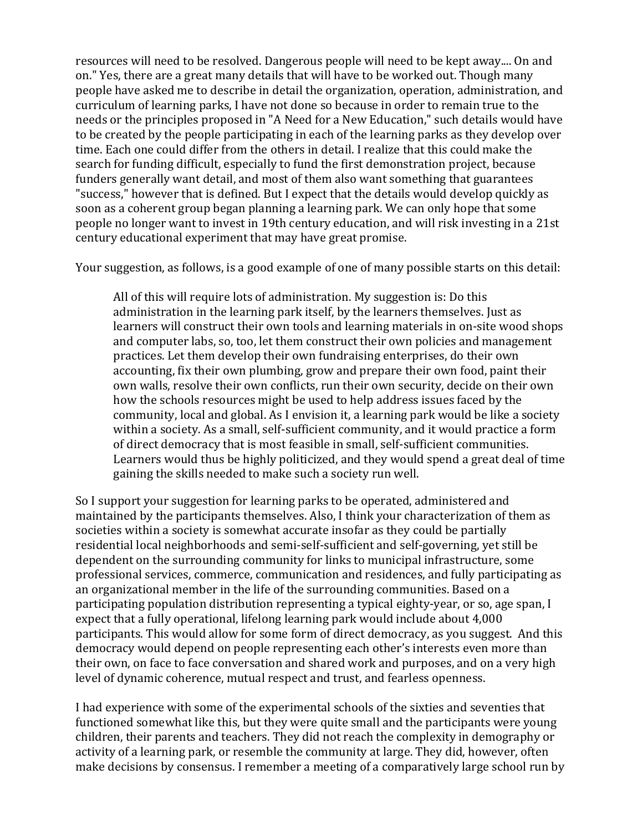resources will need to be resolved. Dangerous people will need to be kept away.... On and on." Yes, there are a great many details that will have to be worked out. Though many people have asked me to describe in detail the organization, operation, administration, and curriculum of learning parks, I have not done so because in order to remain true to the needs or the principles proposed in "A Need for a New Education," such details would have to be created by the people participating in each of the learning parks as they develop over time. Each one could differ from the others in detail. I realize that this could make the search for funding difficult, especially to fund the first demonstration project, because funders generally want detail, and most of them also want something that guarantees "success," however that is defined. But I expect that the details would develop quickly as soon as a coherent group began planning a learning park. We can only hope that some people no longer want to invest in 19th century education, and will risk investing in a 21st century educational experiment that may have great promise.

Your suggestion, as follows, is a good example of one of many possible starts on this detail:

All of this will require lots of administration. My suggestion is: Do this administration in the learning park itself, by the learners themselves. Just as learners will construct their own tools and learning materials in on-site wood shops and computer labs, so, too, let them construct their own policies and management practices. Let them develop their own fundraising enterprises, do their own accounting, fix their own plumbing, grow and prepare their own food, paint their own walls, resolve their own conflicts, run their own security, decide on their own how the schools resources might be used to help address issues faced by the community, local and global. As I envision it, a learning park would be like a society within a society. As a small, self-sufficient community, and it would practice a form of direct democracy that is most feasible in small, self-sufficient communities. Learners would thus be highly politicized, and they would spend a great deal of time gaining the skills needed to make such a society run well.

So I support your suggestion for learning parks to be operated, administered and maintained by the participants themselves. Also, I think your characterization of them as societies within a society is somewhat accurate insofar as they could be partially residential local neighborhoods and semi-self-sufficient and self-governing, yet still be dependent on the surrounding community for links to municipal infrastructure, some professional services, commerce, communication and residences, and fully participating as an organizational member in the life of the surrounding communities. Based on a participating population distribution representing a typical eighty-year, or so, age span, I expect that a fully operational, lifelong learning park would include about 4,000 participants. This would allow for some form of direct democracy, as you suggest. And this democracy would depend on people representing each other's interests even more than their own, on face to face conversation and shared work and purposes, and on a very high level of dynamic coherence, mutual respect and trust, and fearless openness.

I had experience with some of the experimental schools of the sixties and seventies that functioned somewhat like this, but they were quite small and the participants were young children, their parents and teachers. They did not reach the complexity in demography or activity of a learning park, or resemble the community at large. They did, however, often make decisions by consensus. I remember a meeting of a comparatively large school run by